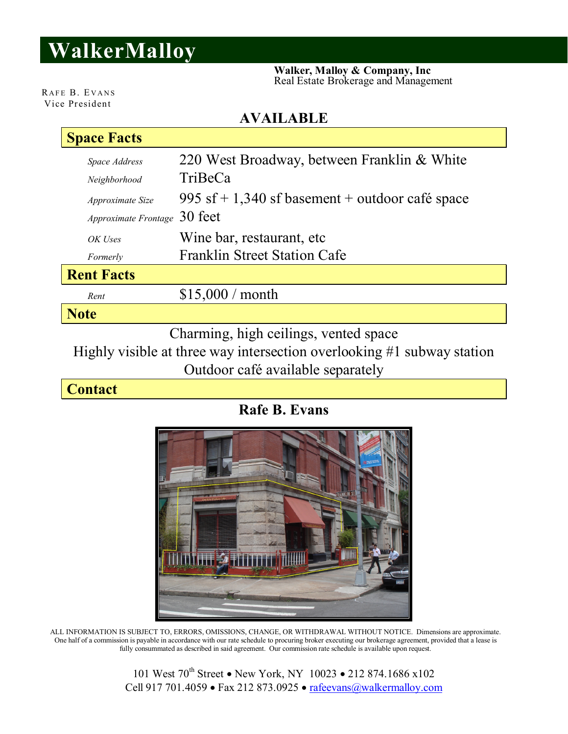## **WalkerMalloy**

 **Walker, Malloy & Company, Inc** Real Estate Brokerage and Management

RAFE B. EVANS Vice President

## **AVAILABLE**

| <b>Space Facts</b>                    |                                                 |  |  |  |
|---------------------------------------|-------------------------------------------------|--|--|--|
| Space Address                         | 220 West Broadway, between Franklin & White     |  |  |  |
| Neighborhood                          | TriBeCa                                         |  |  |  |
| Approximate Size                      | 995 sf + 1,340 sf basement + outdoor café space |  |  |  |
| Approximate Frontage 30 feet          |                                                 |  |  |  |
| OK Uses                               | Wine bar, restaurant, etc.                      |  |  |  |
| Formerly                              | <b>Franklin Street Station Cafe</b>             |  |  |  |
| <b>Rent Facts</b>                     |                                                 |  |  |  |
| Rent                                  | \$15,000 / month                                |  |  |  |
| <b>Note</b>                           |                                                 |  |  |  |
| Charming, high ceilings, vented space |                                                 |  |  |  |

Highly visible at three way intersection overlooking #1 subway station Outdoor café available separately

**Contact**

**Rafe B. Evans**



ALL INFORMATION IS SUBJECT TO, ERRORS, OMISSIONS, CHANGE, OR WITHDRAWAL WITHOUT NOTICE. Dimensions are approximate. One half of a commission is payable in accordance with our rate schedule to procuring broker executing our brokerage agreement, provided that a lease is fully consummated as described in said agreement. Our commission rate schedule is available upon request.

> 101 West 70<sup>th</sup> Street • New York, NY 10023 • 212 874.1686 x102 Cell 917 701.4059 · Fax 212 873.0925 · rafeevans@walkermalloy.com